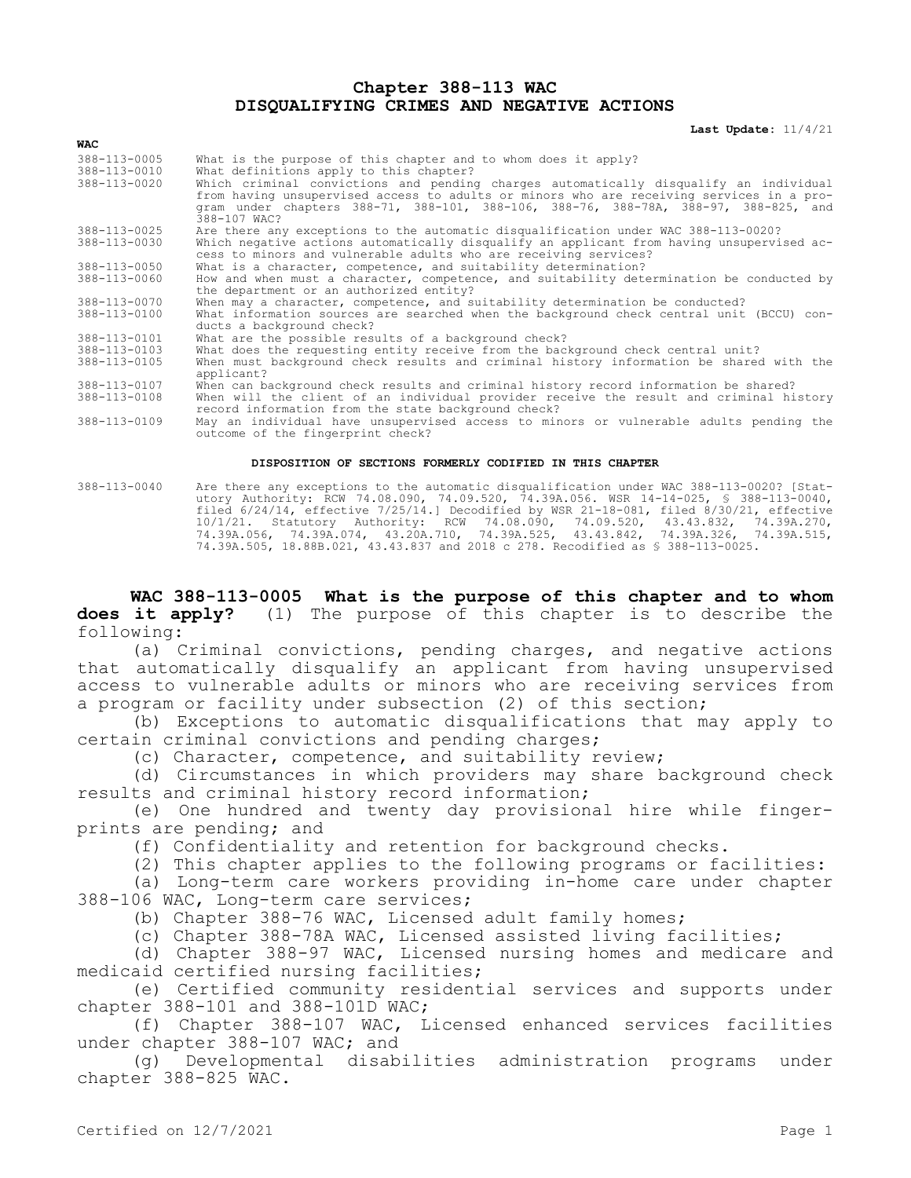## **Chapter 388-113 WAC DISQUALIFYING CRIMES AND NEGATIVE ACTIONS**

**Last Update:** 11/4/21

| <b>WAC</b>                                   |                                                                                                                                                                                                                                                                                                                                                                                       |
|----------------------------------------------|---------------------------------------------------------------------------------------------------------------------------------------------------------------------------------------------------------------------------------------------------------------------------------------------------------------------------------------------------------------------------------------|
| 388-113-0005<br>388-113-0010<br>388-113-0020 | What is the purpose of this chapter and to whom does it apply?<br>What definitions apply to this chapter?<br>Which criminal convictions and pending charges automatically disqualify an individual<br>from having unsupervised access to adults or minors who are receiving services in a pro-<br>gram under chapters 388-71, 388-101, 388-106, 388-76, 388-78A, 388-97, 388-825, and |
|                                              | 388-107 WAC?                                                                                                                                                                                                                                                                                                                                                                          |
| 388-113-0025<br>388-113-0030                 | Are there any exceptions to the automatic disqualification under WAC 388-113-0020?<br>Which negative actions automatically disqualify an applicant from having unsupervised ac-<br>cess to minors and vulnerable adults who are receiving services?                                                                                                                                   |
| 388-113-0050                                 | What is a character, competence, and suitability determination?                                                                                                                                                                                                                                                                                                                       |
| 388-113-0060                                 | How and when must a character, competence, and suitability determination be conducted by<br>the department or an authorized entity?                                                                                                                                                                                                                                                   |
| 388-113-0070                                 | When may a character, competence, and suitability determination be conducted?                                                                                                                                                                                                                                                                                                         |
| 388-113-0100                                 | What information sources are searched when the background check central unit (BCCU) con-<br>ducts a background check?                                                                                                                                                                                                                                                                 |
| 388-113-0101                                 | What are the possible results of a background check?                                                                                                                                                                                                                                                                                                                                  |
| 388-113-0103                                 | What does the requesting entity receive from the background check central unit?                                                                                                                                                                                                                                                                                                       |
| 388-113-0105                                 | When must background check results and criminal history information be shared with the<br>applicant?                                                                                                                                                                                                                                                                                  |
| 388-113-0107                                 | When can background check results and criminal history record information be shared?                                                                                                                                                                                                                                                                                                  |
| 388-113-0108                                 | When will the client of an individual provider receive the result and criminal history<br>record information from the state background check?                                                                                                                                                                                                                                         |
| 388-113-0109                                 | May an individual have unsupervised access to minors or vulnerable adults pending the<br>outcome of the fingerprint check?                                                                                                                                                                                                                                                            |

## **DISPOSITION OF SECTIONS FORMERLY CODIFIED IN THIS CHAPTER**

388-113-0040 Are there any exceptions to the automatic disqualification under WAC 388-113-0020? [Statutory Authority: RCW 74.08.090, 74.09.520, 74.39A.056. WSR 14-14-025, § 388-113-0040, filed 6/24/14, effective 7/25/14.] Decodified by WSR 21-18-081, filed 8/30/21, effective 10/1/21. Statutory Authority: RCW 74.08.090, 74.09.520, 43.43.832, 74.39A.270, 74.39A.056, 74.39A.074, 43.20A.710, 74.39A.525, 43.43.842, 74.39A.326, 74.39A.515, 74.39A.505, 18.88B.021, 43.43.837 and 2018 c 278. Recodified as § 388-113-0025.

**WAC 388-113-0005 What is the purpose of this chapter and to whom does it apply?** (1) The purpose of this chapter is to describe the following:

(a) Criminal convictions, pending charges, and negative actions that automatically disqualify an applicant from having unsupervised access to vulnerable adults or minors who are receiving services from a program or facility under subsection (2) of this section;

(b) Exceptions to automatic disqualifications that may apply to certain criminal convictions and pending charges;

(c) Character, competence, and suitability review;

(d) Circumstances in which providers may share background check results and criminal history record information;

(e) One hundred and twenty day provisional hire while fingerprints are pending; and

(f) Confidentiality and retention for background checks.

(2) This chapter applies to the following programs or facilities:

(a) Long-term care workers providing in-home care under chapter 388-106 WAC, Long-term care services;

(b) Chapter 388-76 WAC, Licensed adult family homes;

(c) Chapter 388-78A WAC, Licensed assisted living facilities;

(d) Chapter 388-97 WAC, Licensed nursing homes and medicare and medicaid certified nursing facilities;

(e) Certified community residential services and supports under chapter 388-101 and 388-101D WAC;

(f) Chapter 388-107 WAC, Licensed enhanced services facilities under chapter 388-107 WAC; and

(g) Developmental disabilities administration programs under chapter 388-825 WAC.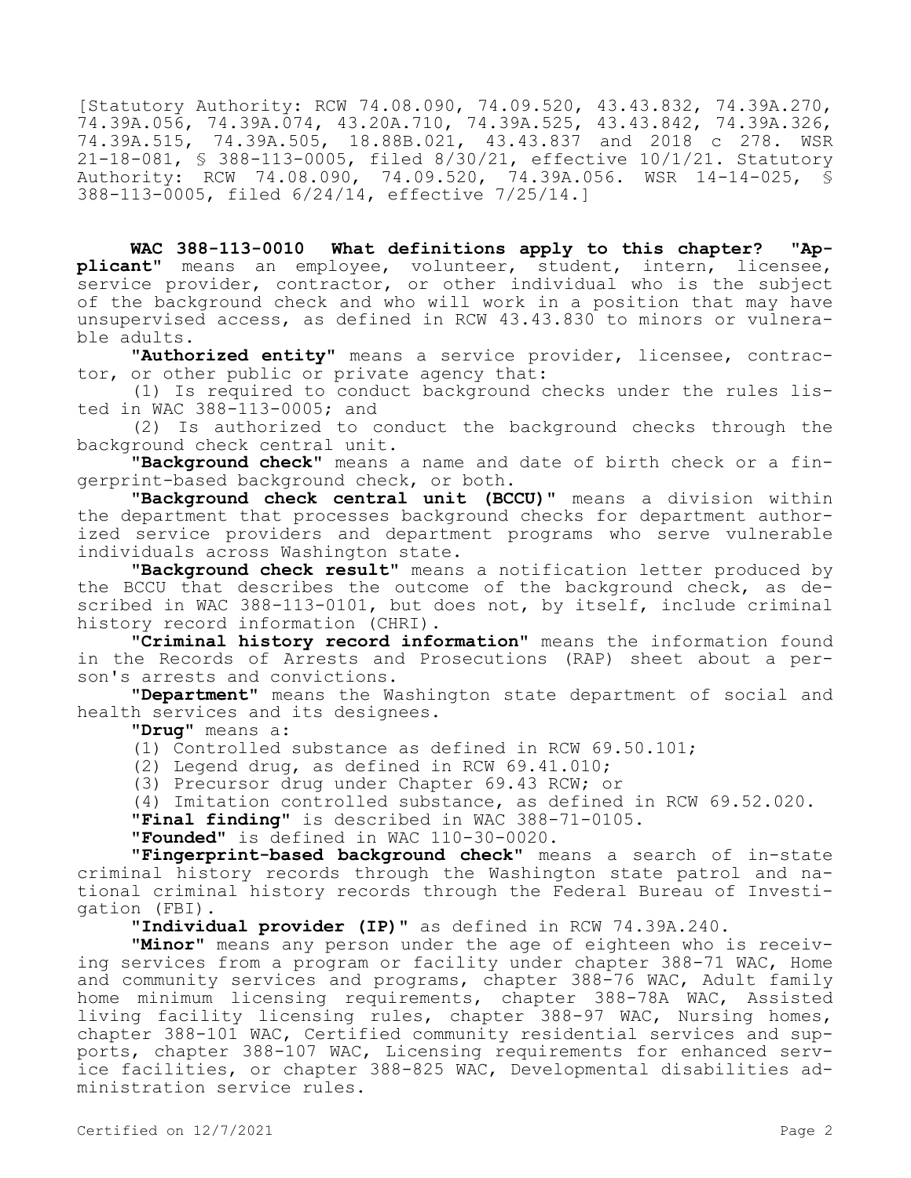[Statutory Authority: RCW 74.08.090, 74.09.520, 43.43.832, 74.39A.270, 74.39A.056, 74.39A.074, 43.20A.710, 74.39A.525, 43.43.842, 74.39A.326, 74.39A.515, 74.39A.505, 18.88B.021, 43.43.837 and 2018 c 278. WSR 21-18-081, § 388-113-0005, filed 8/30/21, effective 10/1/21. Statutory Authority: RCW 74.08.090, 74.09.520, 74.39A.056. WSR 14-14-025, § 388-113-0005, filed 6/24/14, effective 7/25/14.]

**WAC 388-113-0010 What definitions apply to this chapter? "Applicant"** means an employee, volunteer, student, intern, licensee, service provider, contractor, or other individual who is the subject of the background check and who will work in a position that may have unsupervised access, as defined in RCW 43.43.830 to minors or vulnerable adults.

**"Authorized entity"** means a service provider, licensee, contractor, or other public or private agency that:

(1) Is required to conduct background checks under the rules listed in WAC 388-113-0005; and

(2) Is authorized to conduct the background checks through the background check central unit.

**"Background check"** means a name and date of birth check or a fingerprint-based background check, or both.

**"Background check central unit (BCCU)"** means a division within the department that processes background checks for department authorized service providers and department programs who serve vulnerable individuals across Washington state.

**"Background check result"** means a notification letter produced by the BCCU that describes the outcome of the background check, as described in WAC 388-113-0101, but does not, by itself, include criminal history record information (CHRI).

**"Criminal history record information"** means the information found in the Records of Arrests and Prosecutions (RAP) sheet about a person's arrests and convictions.

**"Department"** means the Washington state department of social and health services and its designees.

**"Drug"** means a:

(1) Controlled substance as defined in RCW 69.50.101;

(2) Legend drug, as defined in RCW 69.41.010;

(3) Precursor drug under Chapter 69.43 RCW; or

(4) Imitation controlled substance, as defined in RCW 69.52.020.

**"Final finding"** is described in WAC 388-71-0105.

**"Founded"** is defined in WAC 110-30-0020.

**"Fingerprint-based background check"** means a search of in-state criminal history records through the Washington state patrol and national criminal history records through the Federal Bureau of Investigation (FBI).

**"Individual provider (IP)"** as defined in RCW 74.39A.240.

**"Minor"** means any person under the age of eighteen who is receiving services from a program or facility under chapter 388-71 WAC, Home and community services and programs, chapter 388-76 WAC, Adult family home minimum licensing requirements, chapter 388-78A WAC, Assisted living facility licensing rules, chapter 388-97 WAC, Nursing homes, chapter 388-101 WAC, Certified community residential services and supports, chapter 388-107 WAC, Licensing requirements for enhanced service facilities, or chapter 388-825 WAC, Developmental disabilities administration service rules.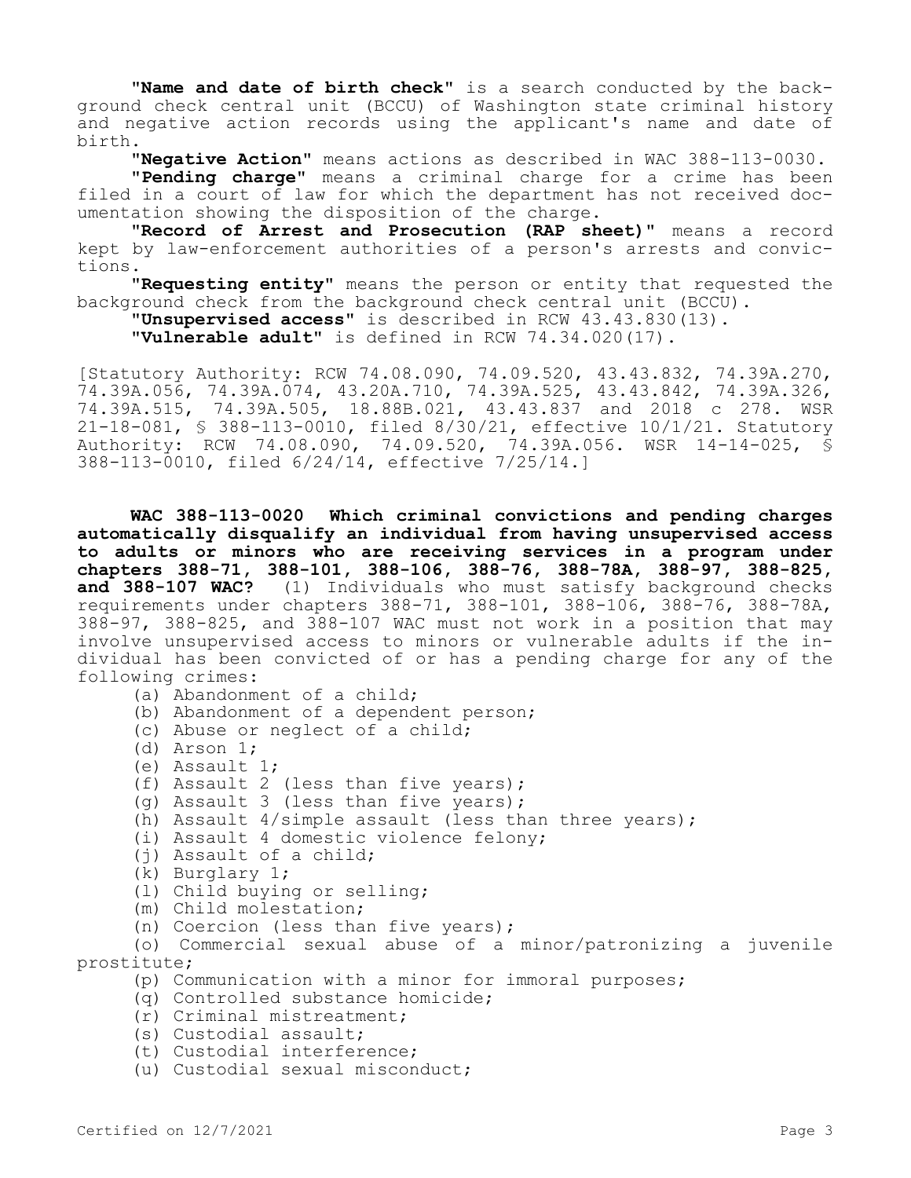**"Name and date of birth check"** is a search conducted by the background check central unit (BCCU) of Washington state criminal history and negative action records using the applicant's name and date of birth.

**"Negative Action"** means actions as described in WAC 388-113-0030.

**"Pending charge"** means a criminal charge for a crime has been filed in a court of law for which the department has not received documentation showing the disposition of the charge.

**"Record of Arrest and Prosecution (RAP sheet)"** means a record kept by law-enforcement authorities of a person's arrests and convictions.

**"Requesting entity"** means the person or entity that requested the background check from the background check central unit (BCCU).

**"Unsupervised access"** is described in RCW 43.43.830(13).

**"Vulnerable adult"** is defined in RCW 74.34.020(17).

[Statutory Authority: RCW 74.08.090, 74.09.520, 43.43.832, 74.39A.270, 74.39A.056, 74.39A.074, 43.20A.710, 74.39A.525, 43.43.842, 74.39A.326, 74.39A.515, 74.39A.505, 18.88B.021, 43.43.837 and 2018 c 278. WSR 21-18-081, § 388-113-0010, filed 8/30/21, effective 10/1/21. Statutory Authority: RCW 74.08.090, 74.09.520, 74.39A.056. WSR 14-14-025, § 388-113-0010, filed 6/24/14, effective 7/25/14.]

**WAC 388-113-0020 Which criminal convictions and pending charges automatically disqualify an individual from having unsupervised access to adults or minors who are receiving services in a program under chapters 388-71, 388-101, 388-106, 388-76, 388-78A, 388-97, 388-825, and 388-107 WAC?** (1) Individuals who must satisfy background checks requirements under chapters 388-71, 388-101, 388-106, 388-76, 388-78A, 388-97, 388-825, and 388-107 WAC must not work in a position that may involve unsupervised access to minors or vulnerable adults if the individual has been convicted of or has a pending charge for any of the following crimes:

- (a) Abandonment of a child;
- (b) Abandonment of a dependent person;
- (c) Abuse or neglect of a child;
- (d) Arson 1;
- (e) Assault 1;
- (f) Assault 2 (less than five years);
- (g) Assault 3 (less than five years);
- (h) Assault 4/simple assault (less than three years);
- (i) Assault 4 domestic violence felony;
- (j) Assault of a child;
- (k) Burglary 1;
- (l) Child buying or selling;
- (m) Child molestation;
- (n) Coercion (less than five years);

(o) Commercial sexual abuse of a minor/patronizing a juvenile prostitute;

- (p) Communication with a minor for immoral purposes;
- (q) Controlled substance homicide;
- (r) Criminal mistreatment;
- (s) Custodial assault;
- (t) Custodial interference;
- (u) Custodial sexual misconduct;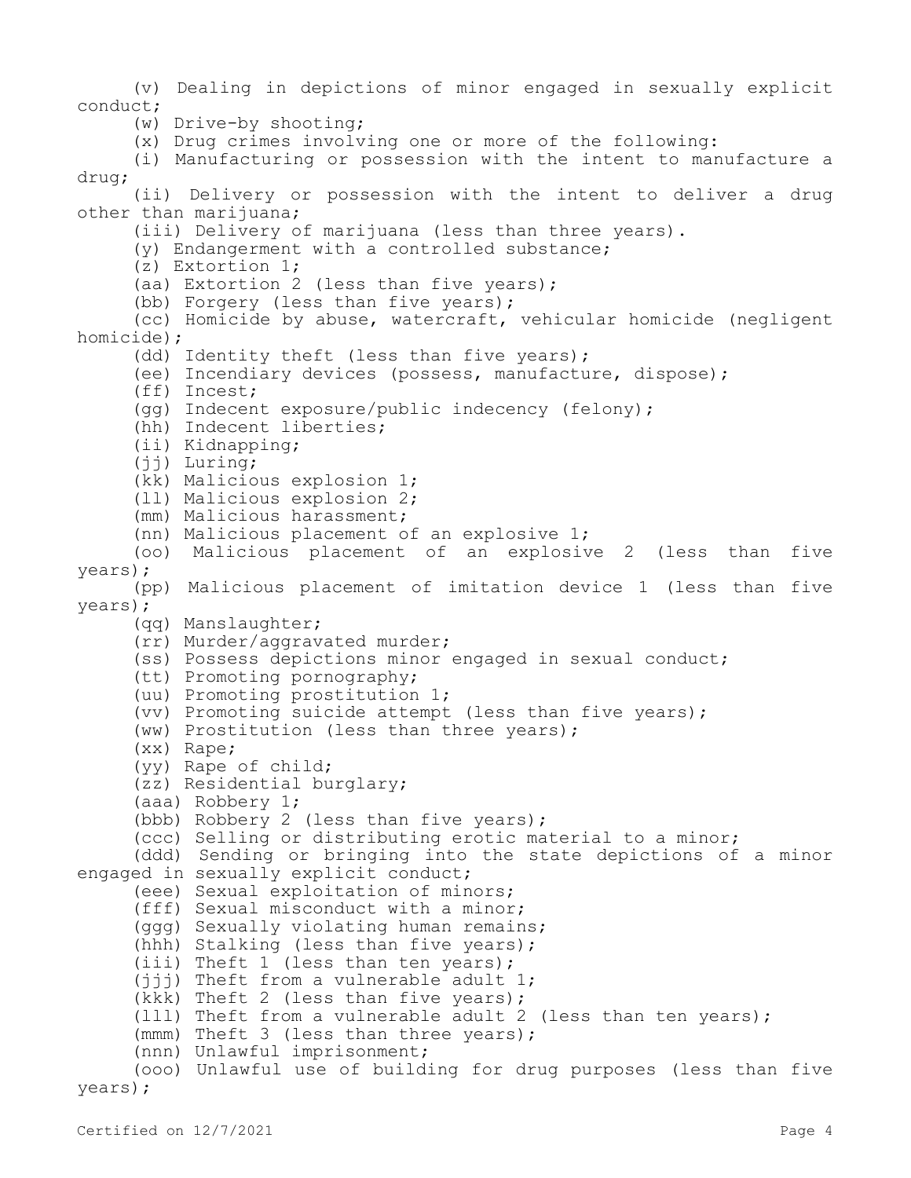(v) Dealing in depictions of minor engaged in sexually explicit conduct; (w) Drive-by shooting; (x) Drug crimes involving one or more of the following: (i) Manufacturing or possession with the intent to manufacture a drug; (ii) Delivery or possession with the intent to deliver a drug other than marijuana; (iii) Delivery of marijuana (less than three years). (y) Endangerment with a controlled substance; (z) Extortion 1; (aa) Extortion 2 (less than five years); (bb) Forgery (less than five years); (cc) Homicide by abuse, watercraft, vehicular homicide (negligent homicide); (dd) Identity theft (less than five years); (ee) Incendiary devices (possess, manufacture, dispose); (ff) Incest; (gg) Indecent exposure/public indecency (felony); (hh) Indecent liberties; (ii) Kidnapping; (jj) Luring; (kk) Malicious explosion 1; (ll) Malicious explosion 2; (mm) Malicious harassment; (nn) Malicious placement of an explosive 1; (oo) Malicious placement of an explosive 2 (less than five years); (pp) Malicious placement of imitation device 1 (less than five years); (qq) Manslaughter; (rr) Murder/aggravated murder; (ss) Possess depictions minor engaged in sexual conduct; (tt) Promoting pornography; (uu) Promoting prostitution 1; (vv) Promoting suicide attempt (less than five years); (ww) Prostitution (less than three years); (xx) Rape; (yy) Rape of child; (zz) Residential burglary; (aaa) Robbery 1; (bbb) Robbery 2 (less than five years); (ccc) Selling or distributing erotic material to a minor; (ddd) Sending or bringing into the state depictions of a minor engaged in sexually explicit conduct; (eee) Sexual exploitation of minors; (fff) Sexual misconduct with a minor; (ggg) Sexually violating human remains; (hhh) Stalking (less than five years); (iii) Theft 1 (less than ten years); (jjj) Theft from a vulnerable adult 1; (kkk) Theft 2 (less than five years); (lll) Theft from a vulnerable adult 2 (less than ten years); (mmm) Theft 3 (less than three years); (nnn) Unlawful imprisonment; (ooo) Unlawful use of building for drug purposes (less than five years);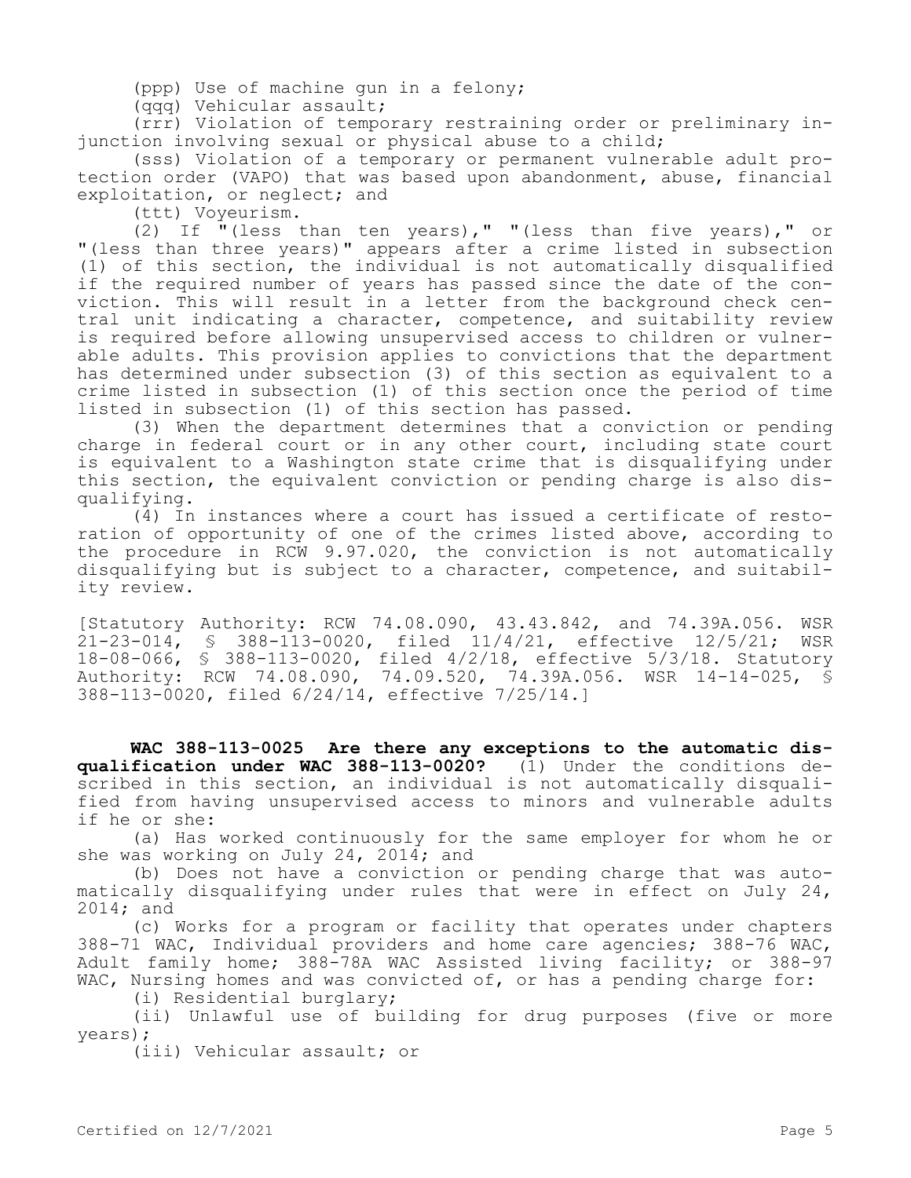(ppp) Use of machine gun in a felony;

(qqq) Vehicular assault;

(rrr) Violation of temporary restraining order or preliminary injunction involving sexual or physical abuse to a child;

(sss) Violation of a temporary or permanent vulnerable adult protection order (VAPO) that was based upon abandonment, abuse, financial exploitation, or neglect; and

(ttt) Voyeurism.

(2) If  $\overline{I}$  (less than ten years)," "(less than five years)," or "(less than three years)" appears after a crime listed in subsection (1) of this section, the individual is not automatically disqualified if the required number of years has passed since the date of the conviction. This will result in a letter from the background check central unit indicating a character, competence, and suitability review is required before allowing unsupervised access to children or vulnerable adults. This provision applies to convictions that the department has determined under subsection (3) of this section as equivalent to a crime listed in subsection (1) of this section once the period of time listed in subsection (1) of this section has passed.

(3) When the department determines that a conviction or pending charge in federal court or in any other court, including state court is equivalent to a Washington state crime that is disqualifying under this section, the equivalent conviction or pending charge is also disqualifying.

(4) In instances where a court has issued a certificate of restoration of opportunity of one of the crimes listed above, according to the procedure in RCW 9.97.020, the conviction is not automatically disqualifying but is subject to a character, competence, and suitability review.

[Statutory Authority: RCW 74.08.090, 43.43.842, and 74.39A.056. WSR 21-23-014, § 388-113-0020, filed 11/4/21, effective 12/5/21; WSR 18-08-066, § 388-113-0020, filed 4/2/18, effective 5/3/18. Statutory Authority: RCW 74.08.090, 74.09.520, 74.39A.056. WSR 14-14-025, § 388-113-0020, filed 6/24/14, effective 7/25/14.]

**WAC 388-113-0025 Are there any exceptions to the automatic disqualification under WAC 388-113-0020?** (1) Under the conditions described in this section, an individual is not automatically disqualified from having unsupervised access to minors and vulnerable adults if he or she:

(a) Has worked continuously for the same employer for whom he or she was working on July 24, 2014; and

(b) Does not have a conviction or pending charge that was automatically disqualifying under rules that were in effect on July 24, 2014; and

(c) Works for a program or facility that operates under chapters 388-71 WAC, Individual providers and home care agencies; 388-76 WAC, Adult family home; 388-78A WAC Assisted living facility; or 388-97 WAC, Nursing homes and was convicted of, or has a pending charge for:

(i) Residential burglary;

(ii) Unlawful use of building for drug purposes (five or more years);

(iii) Vehicular assault; or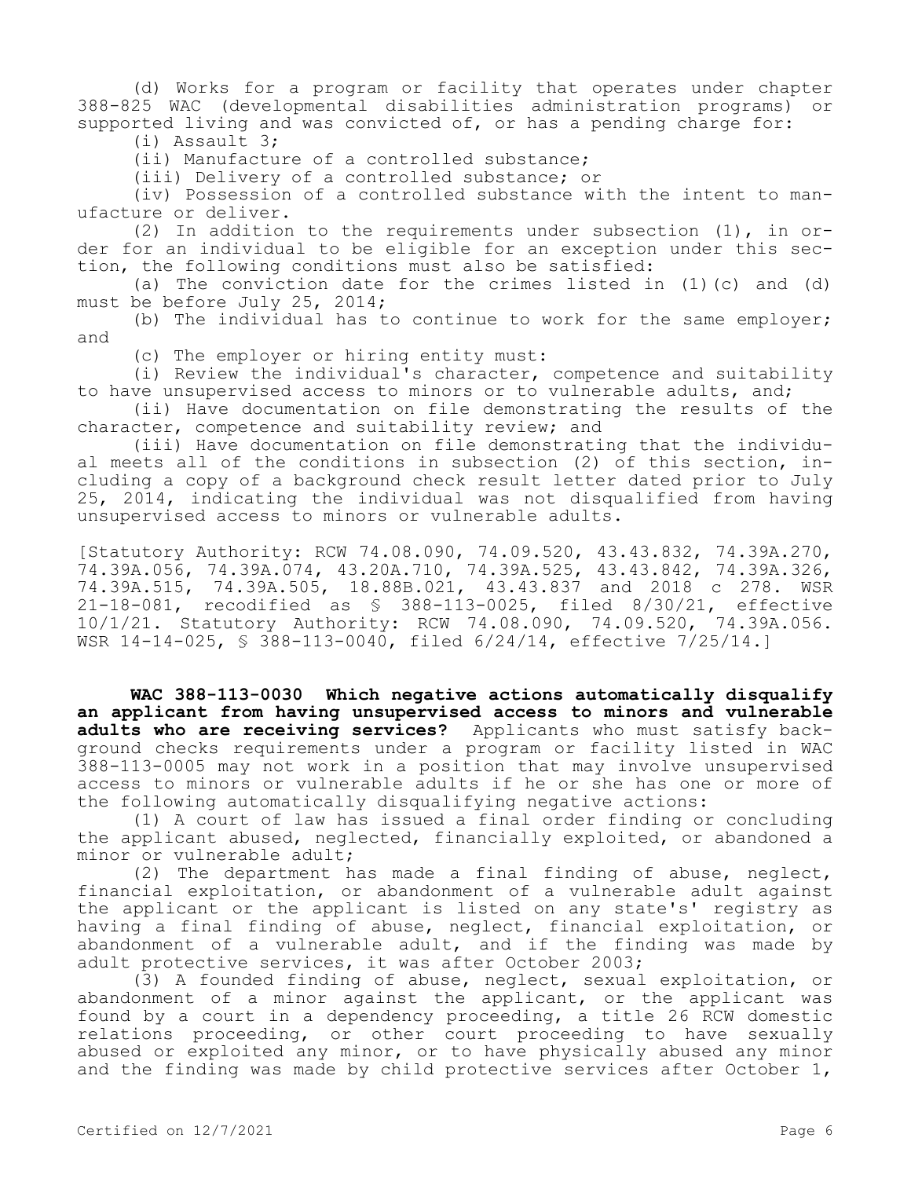(d) Works for a program or facility that operates under chapter 388-825 WAC (developmental disabilities administration programs) or supported living and was convicted of, or has a pending charge for: (i) Assault 3;

(ii) Manufacture of a controlled substance;

(iii) Delivery of a controlled substance; or

(iv) Possession of a controlled substance with the intent to manufacture or deliver.

(2) In addition to the requirements under subsection (1), in order for an individual to be eligible for an exception under this section, the following conditions must also be satisfied:

(a) The conviction date for the crimes listed in  $(1)$  (c) and  $(d)$ must be before July 25, 2014;

(b) The individual has to continue to work for the same employer; and

(c) The employer or hiring entity must:

(i) Review the individual's character, competence and suitability to have unsupervised access to minors or to vulnerable adults, and;

(ii) Have documentation on file demonstrating the results of the character, competence and suitability review; and

(iii) Have documentation on file demonstrating that the individual meets all of the conditions in subsection (2) of this section, including a copy of a background check result letter dated prior to July 25, 2014, indicating the individual was not disqualified from having unsupervised access to minors or vulnerable adults.

[Statutory Authority: RCW 74.08.090, 74.09.520, 43.43.832, 74.39A.270, 74.39A.056, 74.39A.074, 43.20A.710, 74.39A.525, 43.43.842, 74.39A.326, 74.39A.515, 74.39A.505, 18.88B.021, 43.43.837 and 2018 c 278. WSR 21-18-081, recodified as § 388-113-0025, filed 8/30/21, effective 10/1/21. Statutory Authority: RCW 74.08.090, 74.09.520, 74.39A.056. WSR 14-14-025, § 388-113-0040, filed 6/24/14, effective 7/25/14.]

**WAC 388-113-0030 Which negative actions automatically disqualify an applicant from having unsupervised access to minors and vulnerable adults who are receiving services?** Applicants who must satisfy background checks requirements under a program or facility listed in WAC 388-113-0005 may not work in a position that may involve unsupervised access to minors or vulnerable adults if he or she has one or more of the following automatically disqualifying negative actions:

(1) A court of law has issued a final order finding or concluding the applicant abused, neglected, financially exploited, or abandoned a minor or vulnerable adult;

(2) The department has made a final finding of abuse, neglect, financial exploitation, or abandonment of a vulnerable adult against the applicant or the applicant is listed on any state's' registry as having a final finding of abuse, neglect, financial exploitation, or abandonment of a vulnerable adult, and if the finding was made by adult protective services, it was after October 2003;

(3) A founded finding of abuse, neglect, sexual exploitation, or abandonment of a minor against the applicant, or the applicant was found by a court in a dependency proceeding, a title 26 RCW domestic relations proceeding, or other court proceeding to have sexually abused or exploited any minor, or to have physically abused any minor and the finding was made by child protective services after October 1,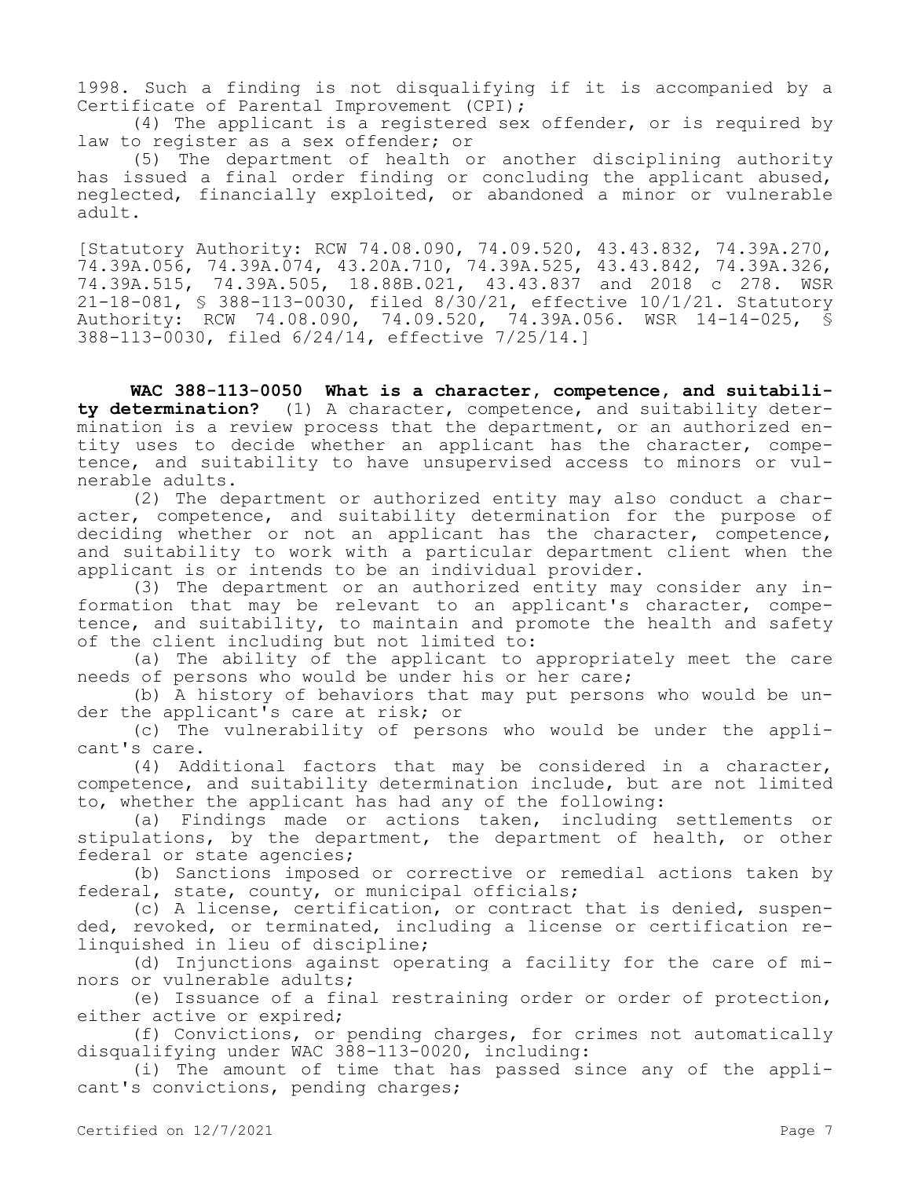1998. Such a finding is not disqualifying if it is accompanied by a Certificate of Parental Improvement (CPI);

(4) The applicant is a registered sex offender, or is required by law to register as a sex offender; or

(5) The department of health or another disciplining authority has issued a final order finding or concluding the applicant abused, neglected, financially exploited, or abandoned a minor or vulnerable adult.

[Statutory Authority: RCW 74.08.090, 74.09.520, 43.43.832, 74.39A.270, 74.39A.056, 74.39A.074, 43.20A.710, 74.39A.525, 43.43.842, 74.39A.326, 74.39A.515, 74.39A.505, 18.88B.021, 43.43.837 and 2018 c 278. WSR 21-18-081, § 388-113-0030, filed 8/30/21, effective 10/1/21. Statutory Authority: RCW 74.08.090, 74.09.520, 74.39A.056. WSR 14-14-025, § 388-113-0030, filed 6/24/14, effective 7/25/14.]

**WAC 388-113-0050 What is a character, competence, and suitability determination?** (1) A character, competence, and suitability determination is a review process that the department, or an authorized entity uses to decide whether an applicant has the character, competence, and suitability to have unsupervised access to minors or vulnerable adults.

(2) The department or authorized entity may also conduct a character, competence, and suitability determination for the purpose of deciding whether or not an applicant has the character, competence, and suitability to work with a particular department client when the applicant is or intends to be an individual provider.

(3) The department or an authorized entity may consider any information that may be relevant to an applicant's character, competence, and suitability, to maintain and promote the health and safety of the client including but not limited to:

(a) The ability of the applicant to appropriately meet the care needs of persons who would be under his or her care;

(b) A history of behaviors that may put persons who would be under the applicant's care at risk; or

(c) The vulnerability of persons who would be under the applicant's care.

(4) Additional factors that may be considered in a character, competence, and suitability determination include, but are not limited to, whether the applicant has had any of the following:

(a) Findings made or actions taken, including settlements or stipulations, by the department, the department of health, or other federal or state agencies;

(b) Sanctions imposed or corrective or remedial actions taken by federal, state, county, or municipal officials;

(c) A license, certification, or contract that is denied, suspended, revoked, or terminated, including a license or certification relinquished in lieu of discipline;

(d) Injunctions against operating a facility for the care of minors or vulnerable adults;

(e) Issuance of a final restraining order or order of protection, either active or expired;

(f) Convictions, or pending charges, for crimes not automatically disqualifying under WAC 388-113-0020, including:

(i) The amount of time that has passed since any of the applicant's convictions, pending charges;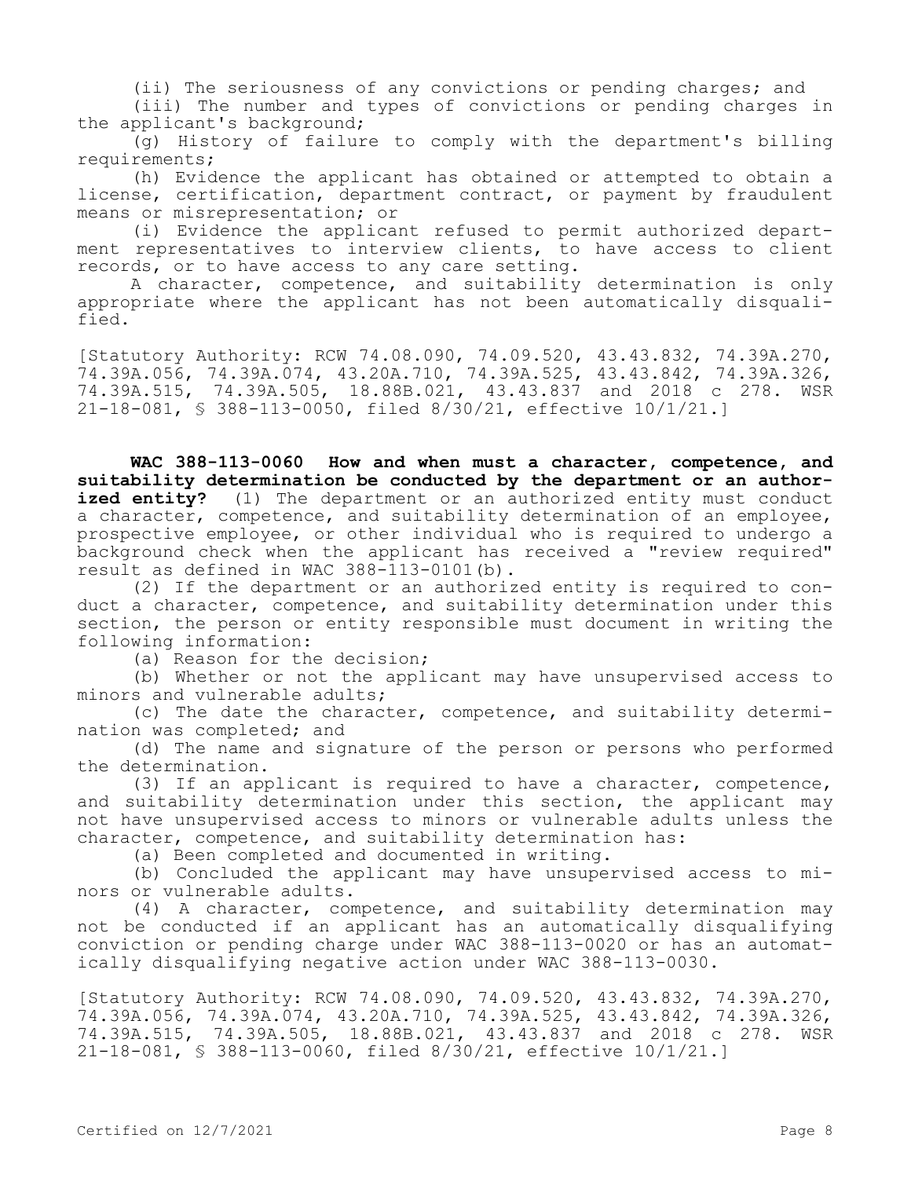(ii) The seriousness of any convictions or pending charges; and

(iii) The number and types of convictions or pending charges in the applicant's background;

(g) History of failure to comply with the department's billing requirements;

(h) Evidence the applicant has obtained or attempted to obtain a license, certification, department contract, or payment by fraudulent means or misrepresentation; or

(i) Evidence the applicant refused to permit authorized department representatives to interview clients, to have access to client records, or to have access to any care setting.

A character, competence, and suitability determination is only appropriate where the applicant has not been automatically disqualified.

[Statutory Authority: RCW 74.08.090, 74.09.520, 43.43.832, 74.39A.270, 74.39A.056, 74.39A.074, 43.20A.710, 74.39A.525, 43.43.842, 74.39A.326, 74.39A.515, 74.39A.505, 18.88B.021, 43.43.837 and 2018 c 278. WSR 21-18-081, § 388-113-0050, filed 8/30/21, effective 10/1/21.]

**WAC 388-113-0060 How and when must a character, competence, and suitability determination be conducted by the department or an authorized entity?** (1) The department or an authorized entity must conduct a character, competence, and suitability determination of an employee, prospective employee, or other individual who is required to undergo a background check when the applicant has received a "review required" result as defined in WAC 388-113-0101(b).

(2) If the department or an authorized entity is required to conduct a character, competence, and suitability determination under this section, the person or entity responsible must document in writing the following information:

(a) Reason for the decision;

(b) Whether or not the applicant may have unsupervised access to minors and vulnerable adults;

(c) The date the character, competence, and suitability determination was completed; and

(d) The name and signature of the person or persons who performed the determination.

(3) If an applicant is required to have a character, competence, and suitability determination under this section, the applicant may not have unsupervised access to minors or vulnerable adults unless the character, competence, and suitability determination has:

(a) Been completed and documented in writing.

(b) Concluded the applicant may have unsupervised access to minors or vulnerable adults.

(4) A character, competence, and suitability determination may not be conducted if an applicant has an automatically disqualifying conviction or pending charge under WAC 388-113-0020 or has an automatically disqualifying negative action under WAC 388-113-0030.

[Statutory Authority: RCW 74.08.090, 74.09.520, 43.43.832, 74.39A.270, 74.39A.056, 74.39A.074, 43.20A.710, 74.39A.525, 43.43.842, 74.39A.326, 74.39A.515, 74.39A.505, 18.88B.021, 43.43.837 and 2018 c 278. WSR 21-18-081, § 388-113-0060, filed 8/30/21, effective 10/1/21.]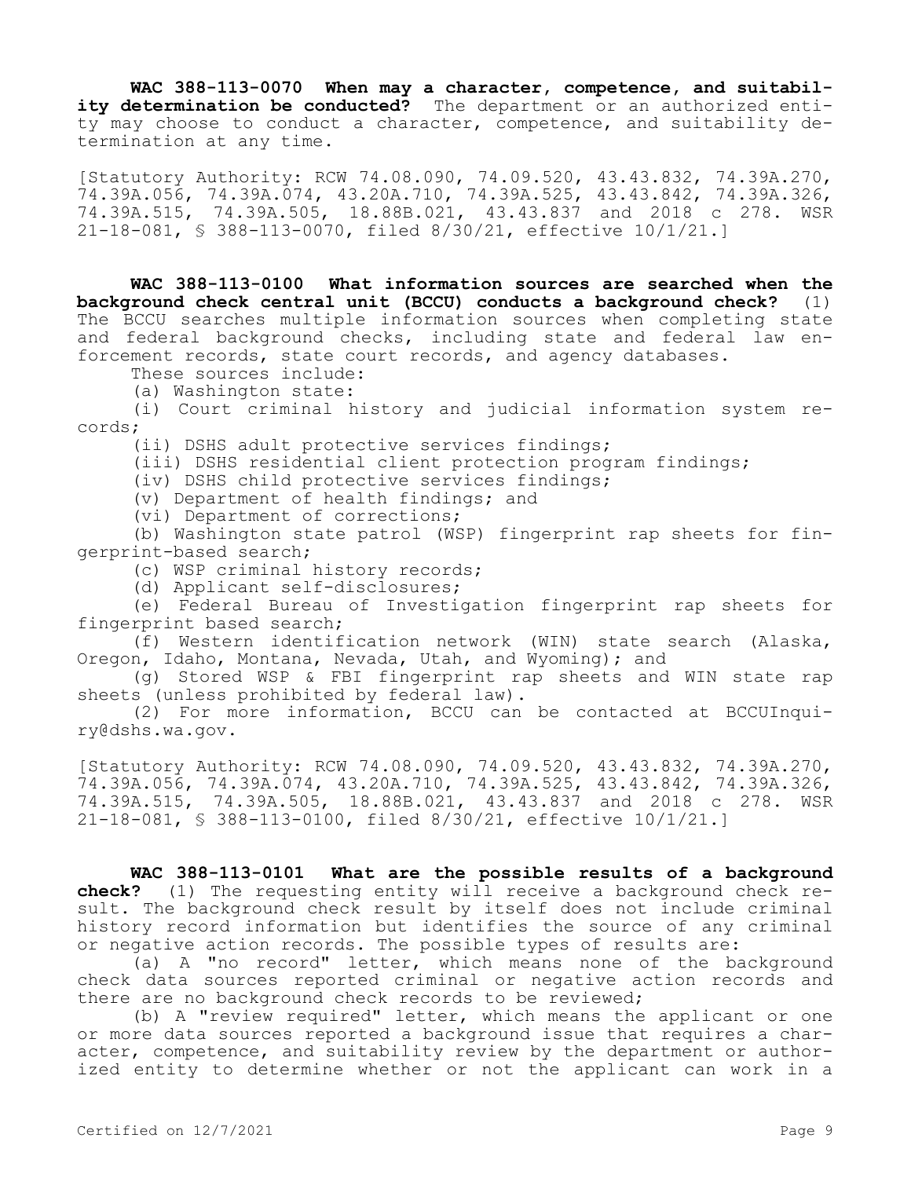**WAC 388-113-0070 When may a character, competence, and suitability determination be conducted?** The department or an authorized entity may choose to conduct a character, competence, and suitability determination at any time.

[Statutory Authority: RCW 74.08.090, 74.09.520, 43.43.832, 74.39A.270, 74.39A.056, 74.39A.074, 43.20A.710, 74.39A.525, 43.43.842, 74.39A.326, 74.39A.515, 74.39A.505, 18.88B.021, 43.43.837 and 2018 c 278. WSR 21-18-081, § 388-113-0070, filed 8/30/21, effective 10/1/21.]

**WAC 388-113-0100 What information sources are searched when the background check central unit (BCCU) conducts a background check?** (1) The BCCU searches multiple information sources when completing state and federal background checks, including state and federal law enforcement records, state court records, and agency databases.

These sources include:

(a) Washington state:

(i) Court criminal history and judicial information system records;

(ii) DSHS adult protective services findings;

(iii) DSHS residential client protection program findings;

(iv) DSHS child protective services findings;

(v) Department of health findings; and

(vi) Department of corrections;

(b) Washington state patrol (WSP) fingerprint rap sheets for fingerprint-based search;

(c) WSP criminal history records;

(d) Applicant self-disclosures;

(e) Federal Bureau of Investigation fingerprint rap sheets for fingerprint based search;

(f) Western identification network (WIN) state search (Alaska, Oregon, Idaho, Montana, Nevada, Utah, and Wyoming); and

(g) Stored WSP & FBI fingerprint rap sheets and WIN state rap sheets (unless prohibited by federal law).

(2) For more information, BCCU can be contacted at BCCUInquiry@dshs.wa.gov.

[Statutory Authority: RCW 74.08.090, 74.09.520, 43.43.832, 74.39A.270, 74.39A.056, 74.39A.074, 43.20A.710, 74.39A.525, 43.43.842, 74.39A.326, 74.39A.515, 74.39A.505, 18.88B.021, 43.43.837 and 2018 c 278. WSR 21-18-081, § 388-113-0100, filed 8/30/21, effective 10/1/21.]

**WAC 388-113-0101 What are the possible results of a background check?** (1) The requesting entity will receive a background check result. The background check result by itself does not include criminal history record information but identifies the source of any criminal or negative action records. The possible types of results are:

(a) A "no record" letter, which means none of the background check data sources reported criminal or negative action records and there are no background check records to be reviewed;

(b) A "review required" letter, which means the applicant or one or more data sources reported a background issue that requires a character, competence, and suitability review by the department or authorized entity to determine whether or not the applicant can work in a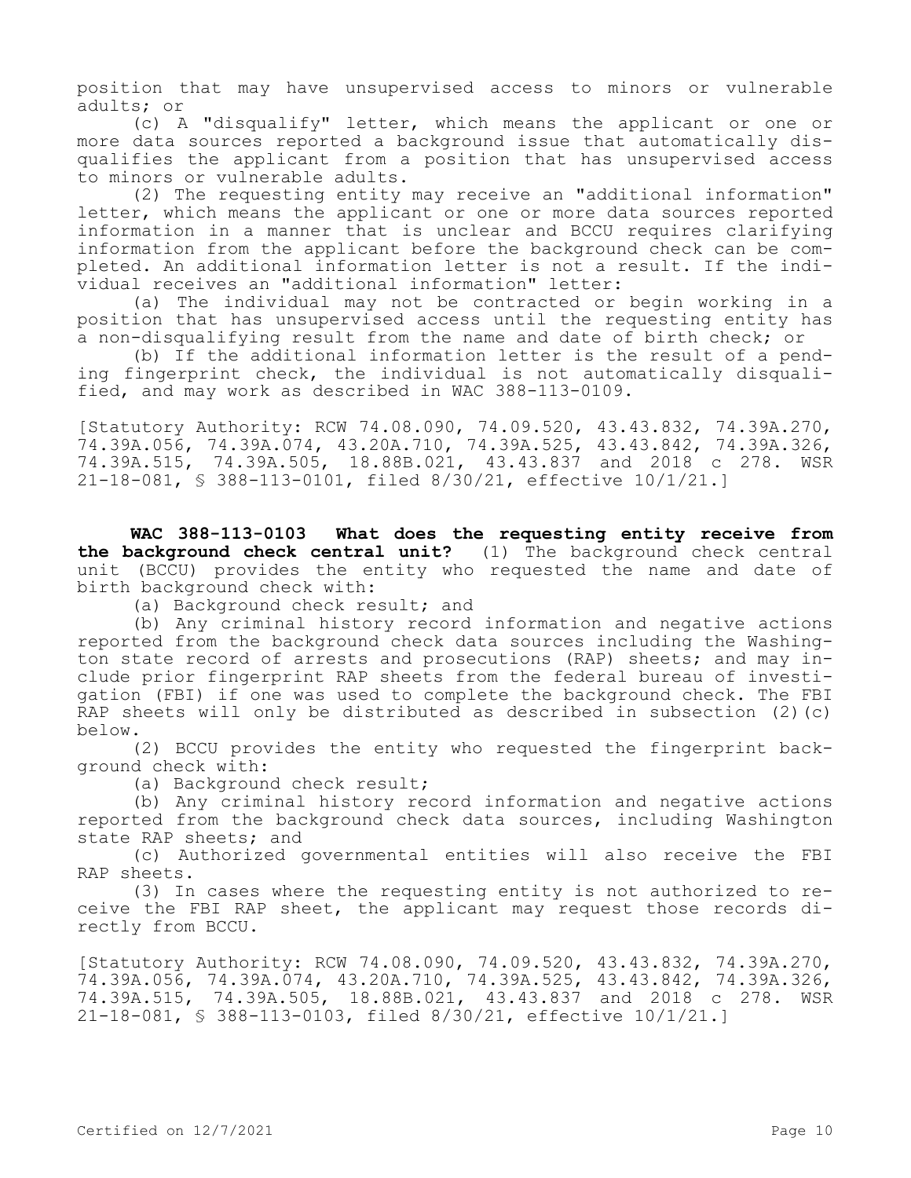position that may have unsupervised access to minors or vulnerable adults; or

(c) A "disqualify" letter, which means the applicant or one or more data sources reported a background issue that automatically disqualifies the applicant from a position that has unsupervised access to minors or vulnerable adults.

(2) The requesting entity may receive an "additional information" letter, which means the applicant or one or more data sources reported information in a manner that is unclear and BCCU requires clarifying information from the applicant before the background check can be completed. An additional information letter is not a result. If the individual receives an "additional information" letter:

(a) The individual may not be contracted or begin working in a position that has unsupervised access until the requesting entity has a non-disqualifying result from the name and date of birth check; or

(b) If the additional information letter is the result of a pending fingerprint check, the individual is not automatically disqualified, and may work as described in WAC 388-113-0109.

[Statutory Authority: RCW 74.08.090, 74.09.520, 43.43.832, 74.39A.270, 74.39A.056, 74.39A.074, 43.20A.710, 74.39A.525, 43.43.842, 74.39A.326, 74.39A.515, 74.39A.505, 18.88B.021, 43.43.837 and 2018 c 278. WSR 21-18-081, § 388-113-0101, filed 8/30/21, effective 10/1/21.]

**WAC 388-113-0103 What does the requesting entity receive from the background check central unit?** (1) The background check central unit (BCCU) provides the entity who requested the name and date of birth background check with:

(a) Background check result; and

(b) Any criminal history record information and negative actions reported from the background check data sources including the Washington state record of arrests and prosecutions (RAP) sheets; and may include prior fingerprint RAP sheets from the federal bureau of investigation (FBI) if one was used to complete the background check. The FBI RAP sheets will only be distributed as described in subsection (2)(c) below.

(2) BCCU provides the entity who requested the fingerprint background check with:

(a) Background check result;

(b) Any criminal history record information and negative actions reported from the background check data sources, including Washington state RAP sheets; and

(c) Authorized governmental entities will also receive the FBI RAP sheets.

(3) In cases where the requesting entity is not authorized to receive the FBI RAP sheet, the applicant may request those records directly from BCCU.

[Statutory Authority: RCW 74.08.090, 74.09.520, 43.43.832, 74.39A.270, 74.39A.056, 74.39A.074, 43.20A.710, 74.39A.525, 43.43.842, 74.39A.326, 74.39A.515, 74.39A.505, 18.88B.021, 43.43.837 and 2018 c 278. WSR 21-18-081, § 388-113-0103, filed 8/30/21, effective 10/1/21.]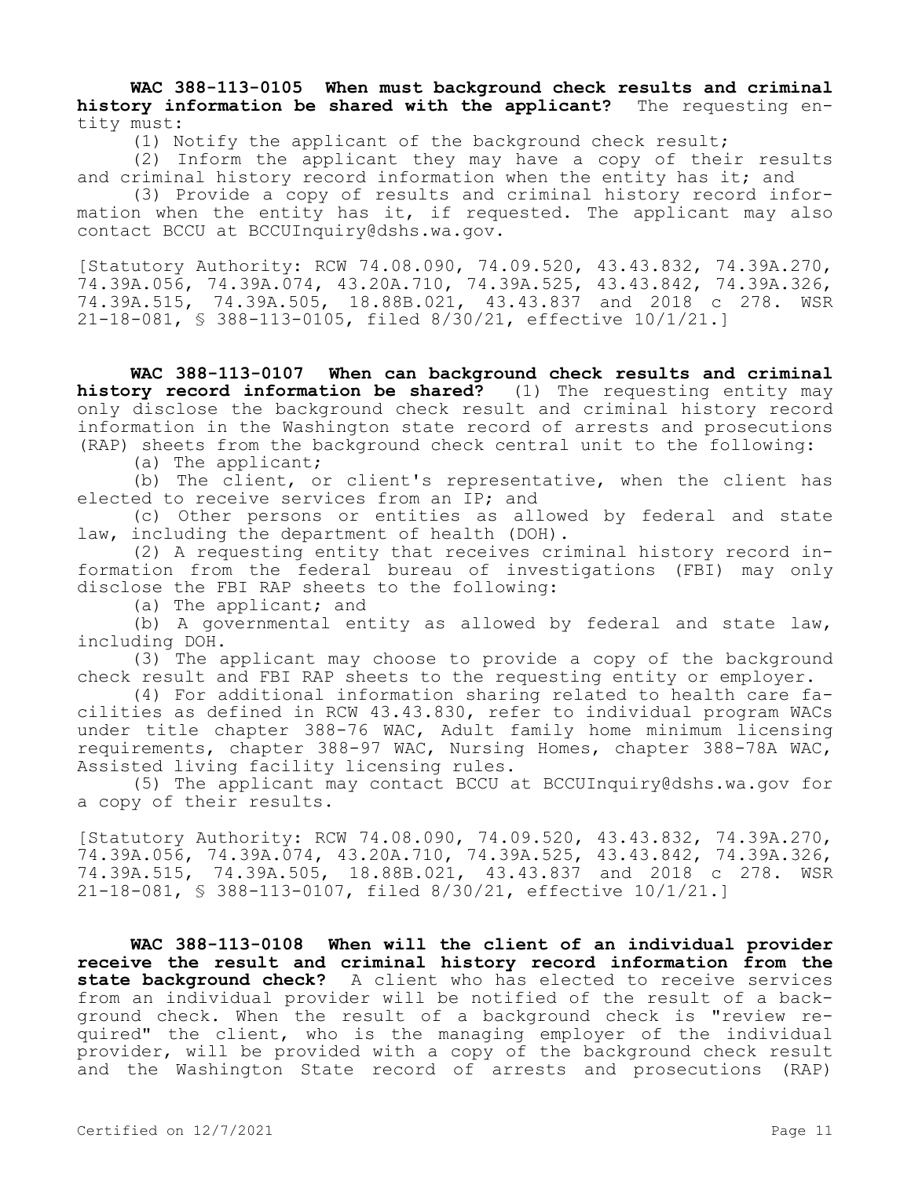**WAC 388-113-0105 When must background check results and criminal history information be shared with the applicant?** The requesting entity must:

(1) Notify the applicant of the background check result;

(2) Inform the applicant they may have a copy of their results and criminal history record information when the entity has it; and

(3) Provide a copy of results and criminal history record information when the entity has it, if requested. The applicant may also contact BCCU at BCCUInquiry@dshs.wa.gov.

[Statutory Authority: RCW 74.08.090, 74.09.520, 43.43.832, 74.39A.270, 74.39A.056, 74.39A.074, 43.20A.710, 74.39A.525, 43.43.842, 74.39A.326, 74.39A.515, 74.39A.505, 18.88B.021, 43.43.837 and 2018 c 278. WSR 21-18-081, § 388-113-0105, filed 8/30/21, effective 10/1/21.]

**WAC 388-113-0107 When can background check results and criminal history record information be shared?** (1) The requesting entity may only disclose the background check result and criminal history record information in the Washington state record of arrests and prosecutions (RAP) sheets from the background check central unit to the following:

(a) The applicant;

(b) The client, or client's representative, when the client has elected to receive services from an IP; and

(c) Other persons or entities as allowed by federal and state law, including the department of health (DOH).

(2) A requesting entity that receives criminal history record information from the federal bureau of investigations (FBI) may only disclose the FBI RAP sheets to the following:

(a) The applicant; and

(b) A governmental entity as allowed by federal and state law, including DOH.

(3) The applicant may choose to provide a copy of the background check result and FBI RAP sheets to the requesting entity or employer.

(4) For additional information sharing related to health care facilities as defined in RCW 43.43.830, refer to individual program WACs under title chapter 388-76 WAC, Adult family home minimum licensing requirements, chapter 388-97 WAC, Nursing Homes, chapter 388-78A WAC, Assisted living facility licensing rules.

(5) The applicant may contact BCCU at BCCUInquiry@dshs.wa.gov for a copy of their results.

[Statutory Authority: RCW 74.08.090, 74.09.520, 43.43.832, 74.39A.270, 74.39A.056, 74.39A.074, 43.20A.710, 74.39A.525, 43.43.842, 74.39A.326, 74.39A.515, 74.39A.505, 18.88B.021, 43.43.837 and 2018 c 278. WSR 21-18-081, § 388-113-0107, filed 8/30/21, effective 10/1/21.]

**WAC 388-113-0108 When will the client of an individual provider receive the result and criminal history record information from the state background check?** A client who has elected to receive services from an individual provider will be notified of the result of a background check. When the result of a background check is "review required" the client, who is the managing employer of the individual provider, will be provided with a copy of the background check result and the Washington State record of arrests and prosecutions (RAP)